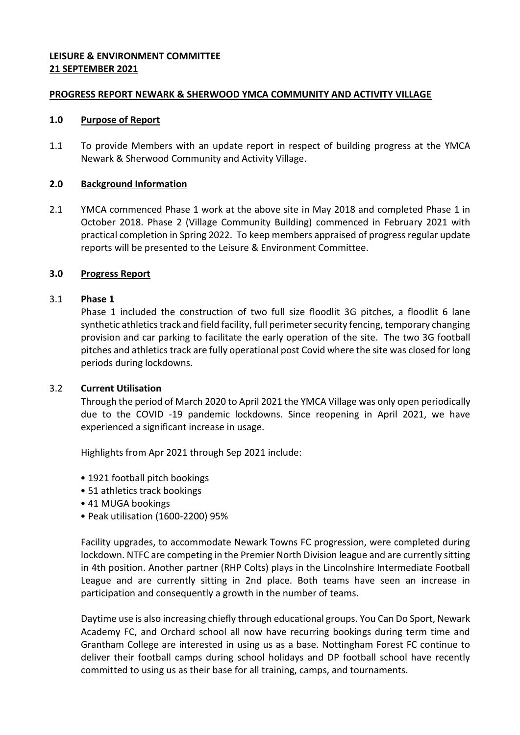# **LEISURE & ENVIRONMENT COMMITTEE 21 SEPTEMBER 2021**

### **PROGRESS REPORT NEWARK & SHERWOOD YMCA COMMUNITY AND ACTIVITY VILLAGE**

### **1.0 Purpose of Report**

1.1 To provide Members with an update report in respect of building progress at the YMCA Newark & Sherwood Community and Activity Village.

# **2.0 Background Information**

2.1 YMCA commenced Phase 1 work at the above site in May 2018 and completed Phase 1 in October 2018. Phase 2 (Village Community Building) commenced in February 2021 with practical completion in Spring 2022. To keep members appraised of progress regular update reports will be presented to the Leisure & Environment Committee.

# **3.0 Progress Report**

# 3.1 **Phase 1**

Phase 1 included the construction of two full size floodlit 3G pitches, a floodlit 6 lane synthetic athletics track and field facility, full perimeter security fencing, temporary changing provision and car parking to facilitate the early operation of the site. The two 3G football pitches and athletics track are fully operational post Covid where the site was closed for long periods during lockdowns.

### 3.2 **Current Utilisation**

Through the period of March 2020 to April 2021 the YMCA Village was only open periodically due to the COVID -19 pandemic lockdowns. Since reopening in April 2021, we have experienced a significant increase in usage.

Highlights from Apr 2021 through Sep 2021 include:

- 1921 football pitch bookings
- 51 athletics track bookings
- 41 MUGA bookings
- Peak utilisation (1600-2200) 95%

Facility upgrades, to accommodate Newark Towns FC progression, were completed during lockdown. NTFC are competing in the Premier North Division league and are currently sitting in 4th position. Another partner (RHP Colts) plays in the Lincolnshire Intermediate Football League and are currently sitting in 2nd place. Both teams have seen an increase in participation and consequently a growth in the number of teams.

Daytime use is also increasing chiefly through educational groups. You Can Do Sport, Newark Academy FC, and Orchard school all now have recurring bookings during term time and Grantham College are interested in using us as a base. Nottingham Forest FC continue to deliver their football camps during school holidays and DP football school have recently committed to using us as their base for all training, camps, and tournaments.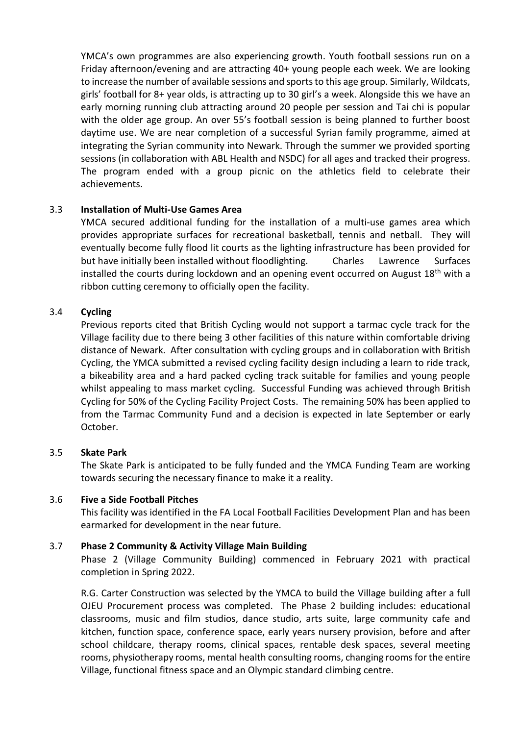YMCA's own programmes are also experiencing growth. Youth football sessions run on a Friday afternoon/evening and are attracting 40+ young people each week. We are looking to increase the number of available sessions and sports to this age group. Similarly, Wildcats, girls' football for 8+ year olds, is attracting up to 30 girl's a week. Alongside this we have an early morning running club attracting around 20 people per session and Tai chi is popular with the older age group. An over 55's football session is being planned to further boost daytime use. We are near completion of a successful Syrian family programme, aimed at integrating the Syrian community into Newark. Through the summer we provided sporting sessions (in collaboration with ABL Health and NSDC) for all ages and tracked their progress. The program ended with a group picnic on the athletics field to celebrate their achievements.

# 3.3 **Installation of Multi-Use Games Area**

YMCA secured additional funding for the installation of a multi-use games area which provides appropriate surfaces for recreational basketball, tennis and netball. They will eventually become fully flood lit courts as the lighting infrastructure has been provided for but have initially been installed without floodlighting. Charles Lawrence Surfaces installed the courts during lockdown and an opening event occurred on August 18<sup>th</sup> with a ribbon cutting ceremony to officially open the facility.

# 3.4 **Cycling**

Previous reports cited that British Cycling would not support a tarmac cycle track for the Village facility due to there being 3 other facilities of this nature within comfortable driving distance of Newark. After consultation with cycling groups and in collaboration with British Cycling, the YMCA submitted a revised cycling facility design including a learn to ride track, a bikeability area and a hard packed cycling track suitable for families and young people whilst appealing to mass market cycling. Successful Funding was achieved through British Cycling for 50% of the Cycling Facility Project Costs. The remaining 50% has been applied to from the Tarmac Community Fund and a decision is expected in late September or early October.

### 3.5 **Skate Park**

The Skate Park is anticipated to be fully funded and the YMCA Funding Team are working towards securing the necessary finance to make it a reality.

### 3.6 **Five a Side Football Pitches**

This facility was identified in the FA Local Football Facilities Development Plan and has been earmarked for development in the near future.

### 3.7 **Phase 2 Community & Activity Village Main Building**

Phase 2 (Village Community Building) commenced in February 2021 with practical completion in Spring 2022.

R.G. Carter Construction was selected by the YMCA to build the Village building after a full OJEU Procurement process was completed. The Phase 2 building includes: educational classrooms, music and film studios, dance studio, arts suite, large community cafe and kitchen, function space, conference space, early years nursery provision, before and after school childcare, therapy rooms, clinical spaces, rentable desk spaces, several meeting rooms, physiotherapy rooms, mental health consulting rooms, changing rooms for the entire Village, functional fitness space and an Olympic standard climbing centre.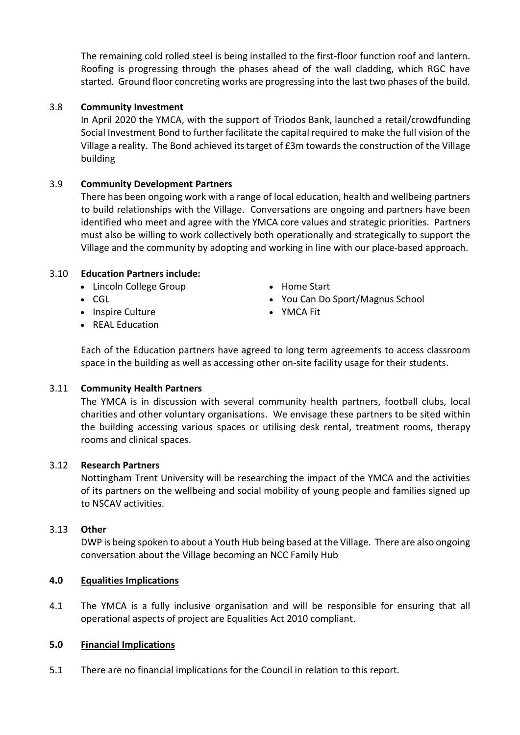The remaining cold rolled steel is being installed to the first-floor function roof and lantern. Roofing is progressing through the phases ahead of the wall cladding, which RGC have started. Ground floor concreting works are progressing into the last two phases of the build.

# 3.8 **Community Investment**

In April 2020 the YMCA, with the support of Triodos Bank, launched a retail/crowdfunding Social Investment Bond to further facilitate the capital required to make the full vision of the Village a reality. The Bond achieved its target of £3m towards the construction of the Village building

# 3.9 **Community Development Partners**

There has been ongoing work with a range of local education, health and wellbeing partners to build relationships with the Village. Conversations are ongoing and partners have been identified who meet and agree with the YMCA core values and strategic priorities. Partners must also be willing to work collectively both operationally and strategically to support the Village and the community by adopting and working in line with our place-based approach.

# 3.10 **Education Partners include:**

- Lincoln College Group
- CGL
- Inspire Culture
- REAL Education
- Home Start
- You Can Do Sport/Magnus School
- YMCA Fit

Each of the Education partners have agreed to long term agreements to access classroom space in the building as well as accessing other on-site facility usage for their students.

### 3.11 **Community Health Partners**

The YMCA is in discussion with several community health partners, football clubs, local charities and other voluntary organisations. We envisage these partners to be sited within the building accessing various spaces or utilising desk rental, treatment rooms, therapy rooms and clinical spaces.

### 3.12 **Research Partners**

Nottingham Trent University will be researching the impact of the YMCA and the activities of its partners on the wellbeing and social mobility of young people and families signed up to NSCAV activities.

### 3.13 **Other**

DWP is being spoken to about a Youth Hub being based at the Village. There are also ongoing conversation about the Village becoming an NCC Family Hub

### **4.0 Equalities Implications**

4.1 The YMCA is a fully inclusive organisation and will be responsible for ensuring that all operational aspects of project are Equalities Act 2010 compliant.

### **5.0 Financial Implications**

5.1 There are no financial implications for the Council in relation to this report.